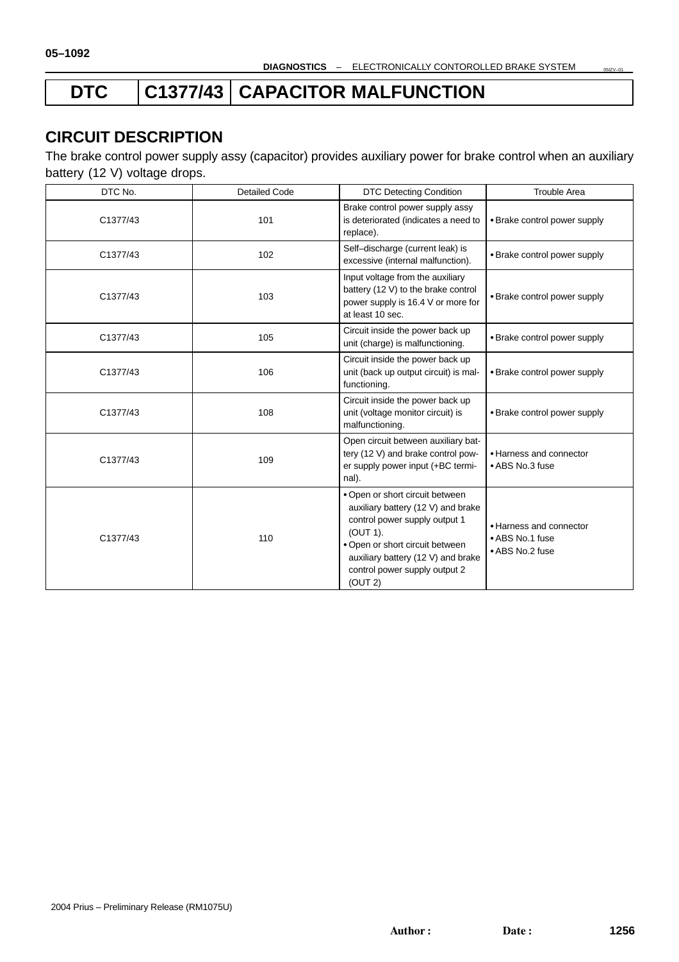# DTC | C1377/43 | CAPACITOR MALFUNCTION

## **CIRCUIT DESCRIPTION**

The brake control power supply assy (capacitor) provides auxiliary power for brake control when an auxiliary battery (12 V) voltage drops.

| DTC No.  | <b>Detailed Code</b> | <b>DTC Detecting Condition</b>                                                                                                                                                                                                          | <b>Trouble Area</b>                                           |
|----------|----------------------|-----------------------------------------------------------------------------------------------------------------------------------------------------------------------------------------------------------------------------------------|---------------------------------------------------------------|
| C1377/43 | 101                  | Brake control power supply assy<br>is deteriorated (indicates a need to<br>• Brake control power supply<br>replace).                                                                                                                    |                                                               |
| C1377/43 | 102                  | Self-discharge (current leak) is<br>excessive (internal malfunction).                                                                                                                                                                   | • Brake control power supply                                  |
| C1377/43 | 103                  | Input voltage from the auxiliary<br>battery (12 V) to the brake control<br>power supply is 16.4 V or more for<br>at least 10 sec.                                                                                                       | • Brake control power supply                                  |
| C1377/43 | 105                  | Circuit inside the power back up<br>unit (charge) is malfunctioning.                                                                                                                                                                    | • Brake control power supply                                  |
| C1377/43 | 106                  | Circuit inside the power back up<br>unit (back up output circuit) is mal-<br>functioning.                                                                                                                                               | • Brake control power supply                                  |
| C1377/43 | 108                  | Circuit inside the power back up<br>unit (voltage monitor circuit) is<br>malfunctioning.                                                                                                                                                | • Brake control power supply                                  |
| C1377/43 | 109                  | Open circuit between auxiliary bat-<br>tery (12 V) and brake control pow-<br>er supply power input (+BC termi-<br>nal).                                                                                                                 | • Harness and connector<br>• ABS No.3 fuse                    |
| C1377/43 | 110                  | • Open or short circuit between<br>auxiliary battery (12 V) and brake<br>control power supply output 1<br>(OUT 1).<br>• Open or short circuit between<br>auxiliary battery (12 V) and brake<br>control power supply output 2<br>(OUT 2) | • Harness and connector<br>• ABS No.1 fuse<br>• ABS No.2 fuse |

05IZV–01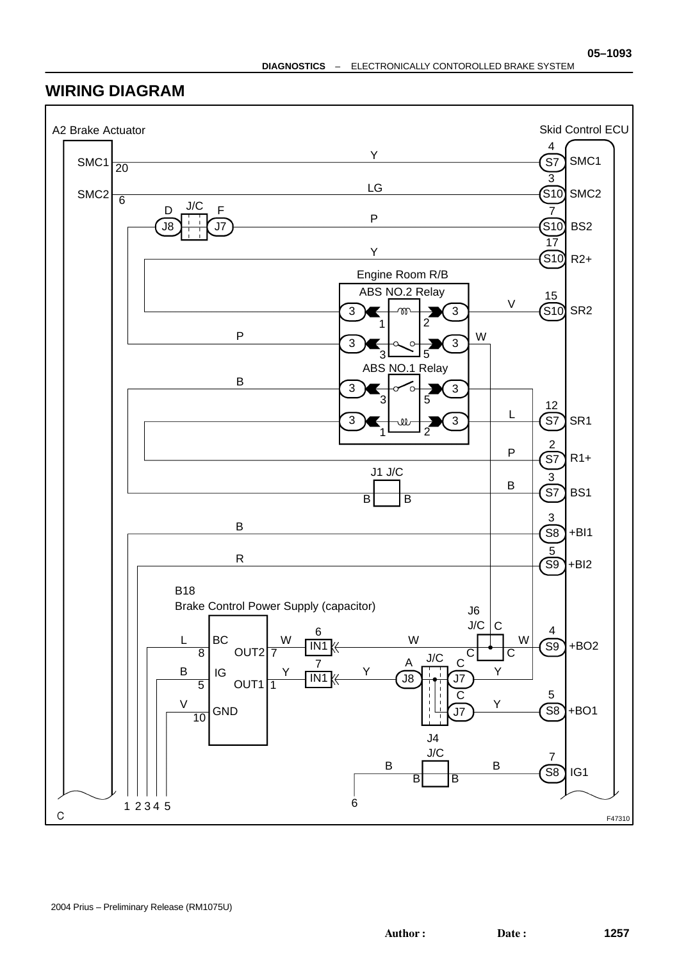## **WIRING DIAGRAM**

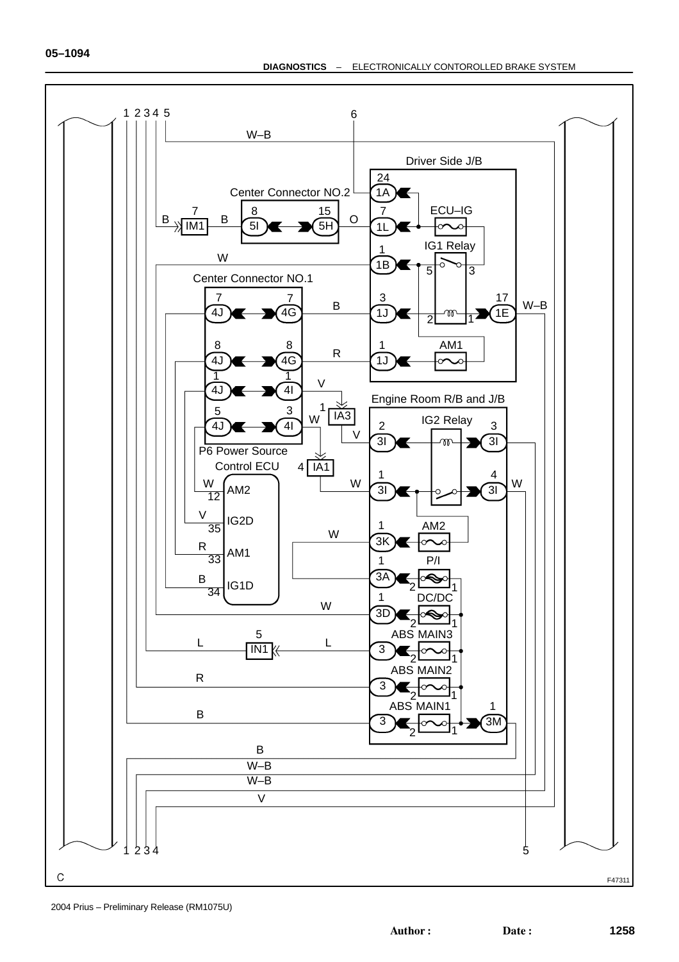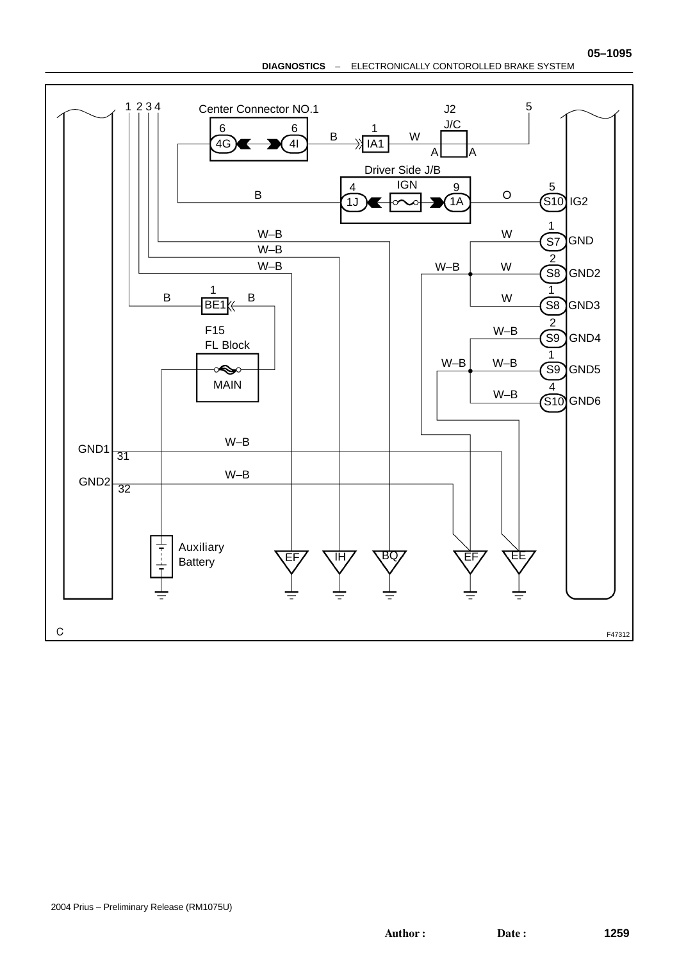**DIAGNOSTICS** – ELECTRONICALLY CONTOROLLED BRAKE SYSTEM



Author: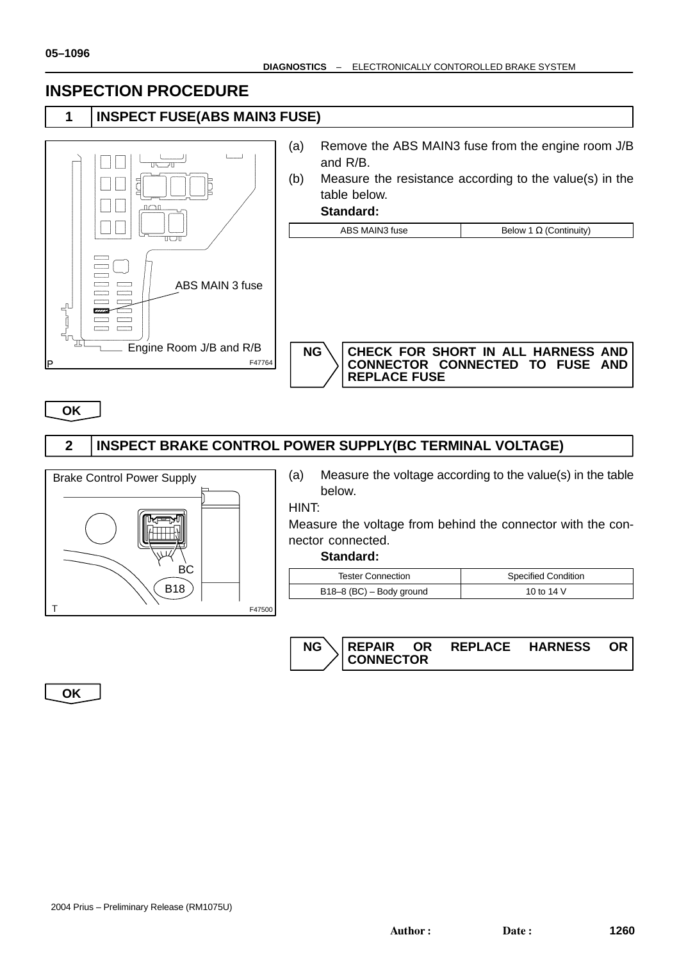## **INSPECTION PROCEDURE**

**1 INSPECT FUSE(ABS MAIN3 FUSE)**



| (a) | Remove the ABS MAIN3 fuse from the engine room J/B<br>and $R/B$ . |                                                                       |  |  |
|-----|-------------------------------------------------------------------|-----------------------------------------------------------------------|--|--|
| (b) | Measure the resistance according to the value(s) in the           |                                                                       |  |  |
|     | table below.                                                      |                                                                       |  |  |
|     | Standard:                                                         |                                                                       |  |  |
|     | ABS MAIN3 fuse                                                    | Below 1 $\Omega$ (Continuity)                                         |  |  |
|     |                                                                   |                                                                       |  |  |
|     | <b>NG</b><br><b>REPLACE FUSE</b>                                  | CHECK FOR SHORT IN ALL HARNESS AND<br>CONNECTOR CONNECTED TO FUSE AND |  |  |

**OK**

## **2 INSPECT BRAKE CONTROL POWER SUPPLY(BC TERMINAL VOLTAGE)**



(a) Measure the voltage according to the value(s) in the table below.

HINT:

Measure the voltage from behind the connector with the connector connected.

**Standard:**

| <b>Tester Connection</b> | <b>Specified Condition</b> |  |
|--------------------------|----------------------------|--|
| B18-8 (BC) – Body ground | 10 to 14 V                 |  |



**OK**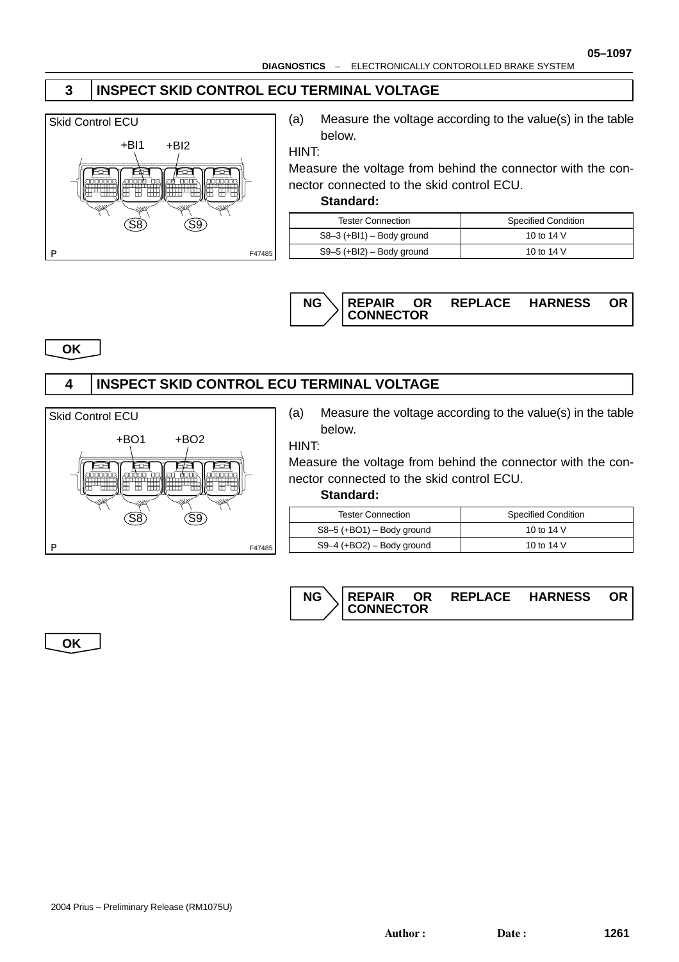## **3 INSPECT SKID CONTROL ECU TERMINAL VOLTAGE**



(a) Measure the voltage according to the value(s) in the table below.

HINT:

Measure the voltage from behind the connector with the connector connected to the skid control ECU.

#### **Standard:**

| <b>Tester Connection</b>    | <b>Specified Condition</b> |  |
|-----------------------------|----------------------------|--|
| $S8-3$ (+BI1) – Body ground | 10 to 14 V                 |  |
| $S9-5$ (+BI2) – Body ground | 10 to 14 V                 |  |



**OK**

## **4 INSPECT SKID CONTROL ECU TERMINAL VOLTAGE**



(a) Measure the voltage according to the value(s) in the table below.

HINT:

Measure the voltage from behind the connector with the connector connected to the skid control ECU.

#### **Standard:**

| Tester Connection           | <b>Specified Condition</b> |
|-----------------------------|----------------------------|
| $S8-5$ (+BO1) – Body ground | 10 to 14 V                 |
| $S9-4$ (+BO2) – Body ground | 10 to 14 V                 |



**OK**